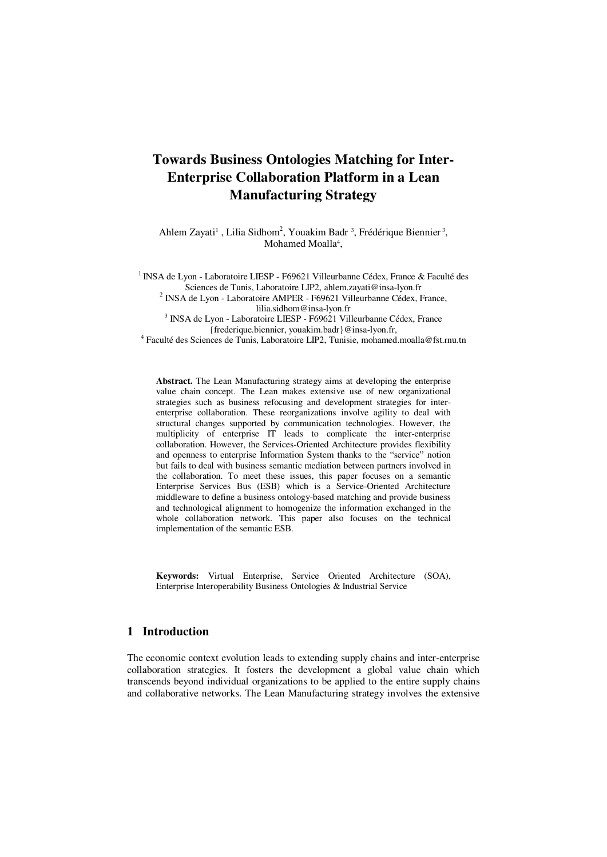# **Towards Business Ontologies Matching for Inter-Enterprise Collaboration Platform in a Lean Manufacturing Strategy**

Ahlem Zayati<sup>1</sup>, Lilia Sidhom<sup>2</sup>, Youakim Badr<sup>3</sup>, Frédérique Biennier<sup>3</sup>, Mohamed Moalla<sup>4</sup>,

<sup>1</sup> INSA de Lyon - Laboratoire LIESP - F69621 Villeurbanne Cédex, France & Faculté des Sciences de Tunis, Laboratoire LIP2, ahlem.zayati@insa-lyon.fr <sup>2</sup> INSA de Lyon - Laboratoire AMPER - F69621 Villeurbanne Cédex, France, lilia.sidhom@insa-lyon.fr 3 INSA de Lyon - Laboratoire LIESP - F69621 Villeurbanne Cédex, France {frederique.biennier, youakim.badr}@insa-lyon.fr, 4 Faculté des Sciences de Tunis, Laboratoire LIP2, Tunisie, mohamed.moalla@fst.rnu.tn

**Abstract.** The Lean Manufacturing strategy aims at developing the enterprise value chain concept. The Lean makes extensive use of new organizational strategies such as business refocusing and development strategies for interenterprise collaboration. These reorganizations involve agility to deal with structural changes supported by communication technologies. However, the multiplicity of enterprise IT leads to complicate the inter-enterprise collaboration. However, the Services-Oriented Architecture provides flexibility and openness to enterprise Information System thanks to the "service" notion but fails to deal with business semantic mediation between partners involved in the collaboration. To meet these issues, this paper focuses on a semantic Enterprise Services Bus (ESB) which is a Service-Oriented Architecture middleware to define a business ontology-based matching and provide business and technological alignment to homogenize the information exchanged in the whole collaboration network. This paper also focuses on the technical implementation of the semantic ESB.

**Keywords:** Virtual Enterprise, Service Oriented Architecture (SOA), Enterprise Interoperability Business Ontologies & Industrial Service

# **1 Introduction**

The economic context evolution leads to extending supply chains and inter-enterprise collaboration strategies. It fosters the development a global value chain which transcends beyond individual organizations to be applied to the entire supply chains and collaborative networks. The Lean Manufacturing strategy involves the extensive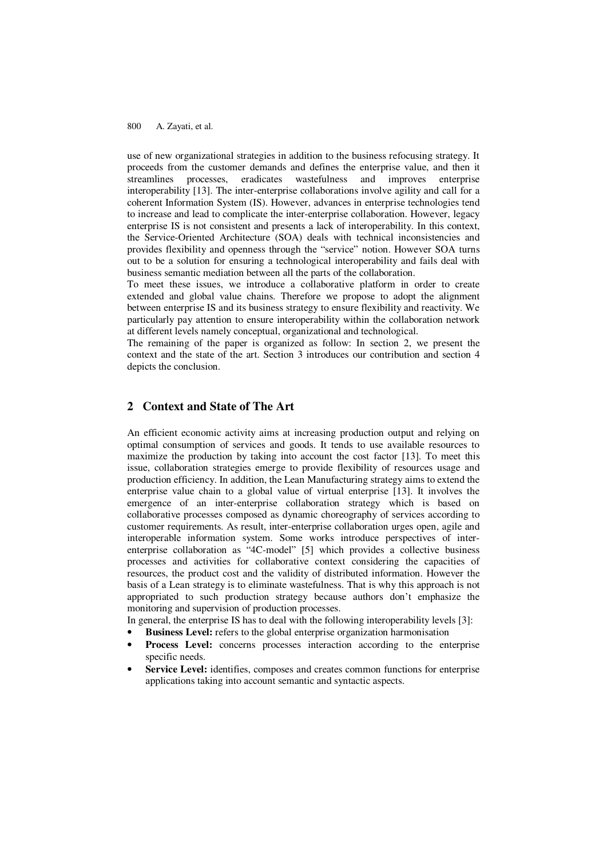use of new organizational strategies in addition to the business refocusing strategy. It proceeds from the customer demands and defines the enterprise value, and then it streamlines processes, eradicates wastefulness and improves enterprise interoperability [13]. The inter-enterprise collaborations involve agility and call for a coherent Information System (IS). However, advances in enterprise technologies tend to increase and lead to complicate the inter-enterprise collaboration. However, legacy enterprise IS is not consistent and presents a lack of interoperability. In this context, the Service-Oriented Architecture (SOA) deals with technical inconsistencies and provides flexibility and openness through the "service" notion. However SOA turns out to be a solution for ensuring a technological interoperability and fails deal with business semantic mediation between all the parts of the collaboration.

To meet these issues, we introduce a collaborative platform in order to create extended and global value chains. Therefore we propose to adopt the alignment between enterprise IS and its business strategy to ensure flexibility and reactivity. We particularly pay attention to ensure interoperability within the collaboration network at different levels namely conceptual, organizational and technological.

The remaining of the paper is organized as follow: In section 2, we present the context and the state of the art. Section 3 introduces our contribution and section 4 depicts the conclusion.

# **2 Context and State of The Art**

An efficient economic activity aims at increasing production output and relying on optimal consumption of services and goods. It tends to use available resources to maximize the production by taking into account the cost factor [13]. To meet this issue, collaboration strategies emerge to provide flexibility of resources usage and production efficiency. In addition, the Lean Manufacturing strategy aims to extend the enterprise value chain to a global value of virtual enterprise [13]. It involves the emergence of an inter-enterprise collaboration strategy which is based on collaborative processes composed as dynamic choreography of services according to customer requirements. As result, inter-enterprise collaboration urges open, agile and interoperable information system. Some works introduce perspectives of interenterprise collaboration as "4C-model" [5] which provides a collective business processes and activities for collaborative context considering the capacities of resources, the product cost and the validity of distributed information. However the basis of a Lean strategy is to eliminate wastefulness. That is why this approach is not appropriated to such production strategy because authors don't emphasize the monitoring and supervision of production processes.

In general, the enterprise IS has to deal with the following interoperability levels [3]:

- **Business Level:** refers to the global enterprise organization harmonisation
- **Process Level:** concerns processes interaction according to the enterprise specific needs.
- Service Level: identifies, composes and creates common functions for enterprise applications taking into account semantic and syntactic aspects.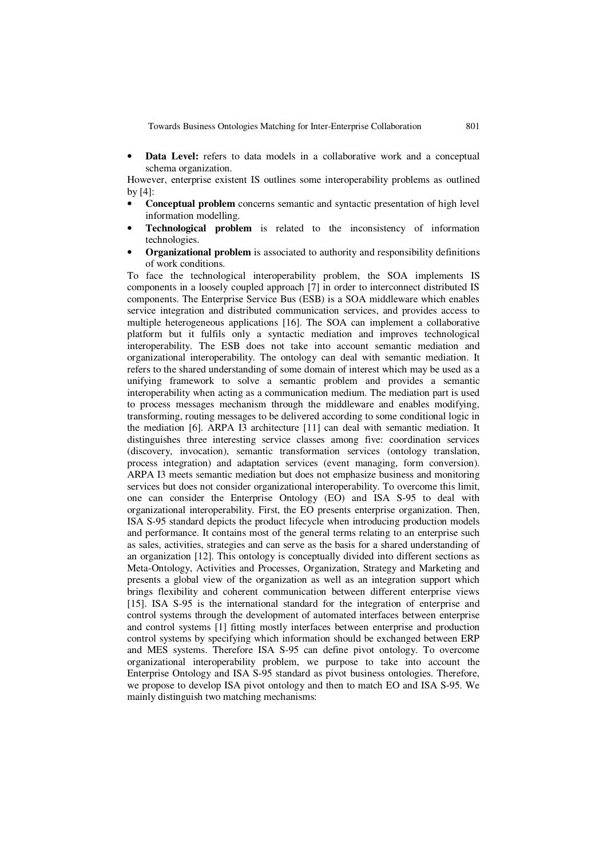• **Data Level:** refers to data models in a collaborative work and a conceptual schema organization.

However, enterprise existent IS outlines some interoperability problems as outlined by [4]:

- **Conceptual problem** concerns semantic and syntactic presentation of high level information modelling.
- **Technological problem** is related to the inconsistency of information technologies.
- **Organizational problem** is associated to authority and responsibility definitions of work conditions.

To face the technological interoperability problem, the SOA implements IS components in a loosely coupled approach [7] in order to interconnect distributed IS components. The Enterprise Service Bus (ESB) is a SOA middleware which enables service integration and distributed communication services, and provides access to multiple heterogeneous applications [16]. The SOA can implement a collaborative platform but it fulfils only a syntactic mediation and improves technological interoperability. The ESB does not take into account semantic mediation and organizational interoperability. The ontology can deal with semantic mediation. It refers to the shared understanding of some domain of interest which may be used as a unifying framework to solve a semantic problem and provides a semantic interoperability when acting as a communication medium. The mediation part is used to process messages mechanism through the middleware and enables modifying, transforming, routing messages to be delivered according to some conditional logic in the mediation [6]. ARPA I3 architecture [11] can deal with semantic mediation. It distinguishes three interesting service classes among five: coordination services (discovery, invocation), semantic transformation services (ontology translation, process integration) and adaptation services (event managing, form conversion). ARPA I3 meets semantic mediation but does not emphasize business and monitoring services but does not consider organizational interoperability. To overcome this limit, one can consider the Enterprise Ontology (EO) and ISA S-95 to deal with organizational interoperability. First, the EO presents enterprise organization. Then, ISA S-95 standard depicts the product lifecycle when introducing production models and performance. It contains most of the general terms relating to an enterprise such as sales, activities, strategies and can serve as the basis for a shared understanding of an organization [12]. This ontology is conceptually divided into different sections as Meta-Ontology, Activities and Processes, Organization, Strategy and Marketing and presents a global view of the organization as well as an integration support which brings flexibility and coherent communication between different enterprise views [15]. ISA S-95 is the international standard for the integration of enterprise and control systems through the development of automated interfaces between enterprise and control systems [1] fitting mostly interfaces between enterprise and production control systems by specifying which information should be exchanged between ERP and MES systems. Therefore ISA S-95 can define pivot ontology. To overcome organizational interoperability problem, we purpose to take into account the Enterprise Ontology and ISA S-95 standard as pivot business ontologies. Therefore, we propose to develop ISA pivot ontology and then to match EO and ISA S-95. We mainly distinguish two matching mechanisms: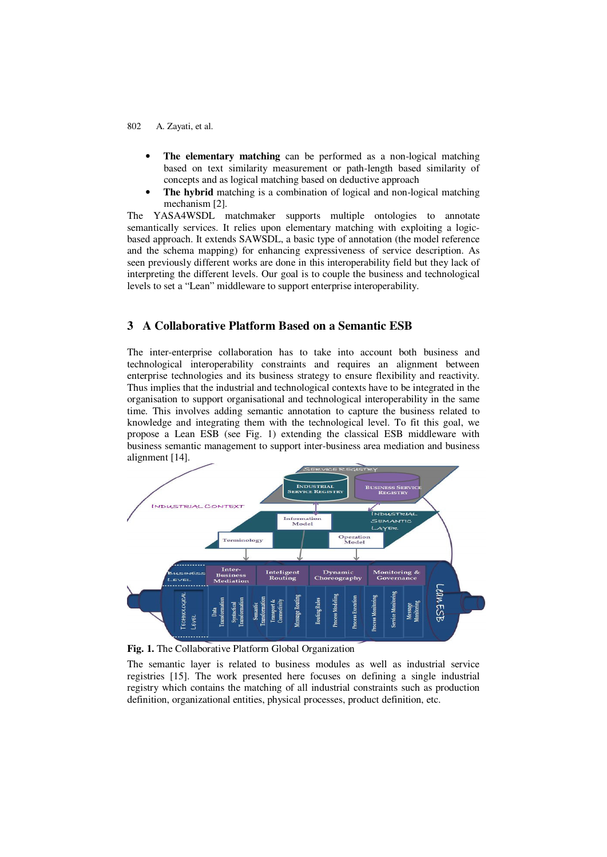- **The elementary matching** can be performed as a non-logical matching based on text similarity measurement or path-length based similarity of concepts and as logical matching based on deductive approach
- **The hybrid** matching is a combination of logical and non-logical matching mechanism [2].

The YASA4WSDL matchmaker supports multiple ontologies to annotate semantically services. It relies upon elementary matching with exploiting a logicbased approach. It extends SAWSDL, a basic type of annotation (the model reference and the schema mapping) for enhancing expressiveness of service description. As seen previously different works are done in this interoperability field but they lack of interpreting the different levels. Our goal is to couple the business and technological levels to set a "Lean" middleware to support enterprise interoperability.

### **3 A Collaborative Platform Based on a Semantic ESB**

The inter-enterprise collaboration has to take into account both business and technological interoperability constraints and requires an alignment between enterprise technologies and its business strategy to ensure flexibility and reactivity. Thus implies that the industrial and technological contexts have to be integrated in the organisation to support organisational and technological interoperability in the same time. This involves adding semantic annotation to capture the business related to knowledge and integrating them with the technological level. To fit this goal, we propose a Lean ESB (see Fig. 1) extending the classical ESB middleware with business semantic management to support inter-business area mediation and business alignment [14].



**Fig. 1.** The Collaborative Platform Global Organization

The semantic layer is related to business modules as well as industrial service registries [15]. The work presented here focuses on defining a single industrial registry which contains the matching of all industrial constraints such as production definition, organizational entities, physical processes, product definition, etc.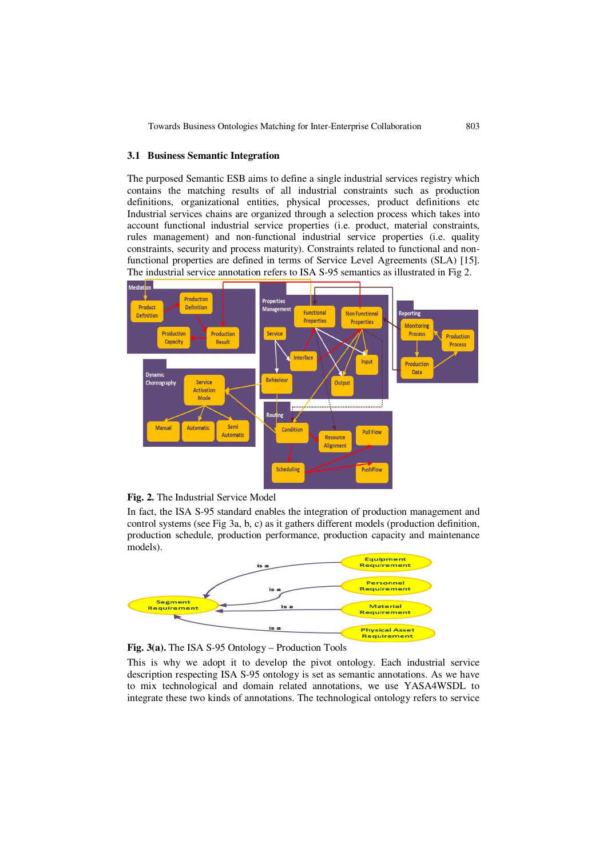#### **3.1 Business Semantic Integration**

The purposed Semantic ESB aims to define a single industrial services registry which contains the matching results of all industrial constraints such as production definitions, organizational entities, physical processes, product definitions etc Industrial services chains are organized through a selection process which takes into account functional industrial service properties (i.e. product, material constraints, rules management) and non-functional industrial service properties (i.e. quality constraints, security and process maturity). Constraints related to functional and nonfunctional properties are defined in terms of Service Level Agreements (SLA) [15]. The industrial service annotation refers to ISA S-95 semantics as illustrated in Fig 2.



**Fig. 2.** The Industrial Service Model

In fact, the ISA S-95 standard enables the integration of production management and control systems (see Fig 3a, b, c) as it gathers different models (production definition, production schedule, production performance, production capacity and maintenance models).



**Fig. 3(a).** The ISA S-95 Ontology – Production Tools

This is why we adopt it to develop the pivot ontology. Each industrial service description respecting ISA S-95 ontology is set as semantic annotations. As we have to mix technological and domain related annotations, we use YASA4WSDL to integrate these two kinds of annotations. The technological ontology refers to service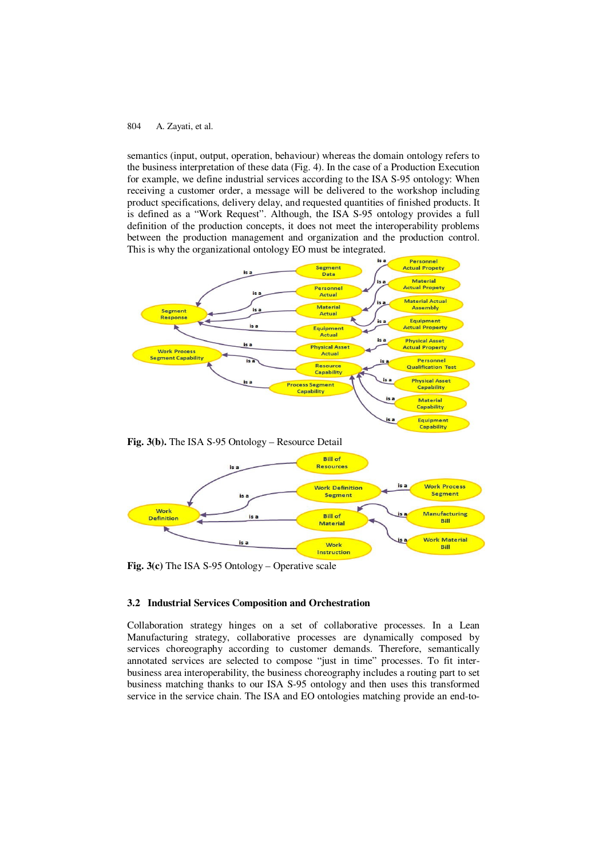semantics (input, output, operation, behaviour) whereas the domain ontology refers to the business interpretation of these data (Fig. 4). In the case of a Production Execution for example, we define industrial services according to the ISA S-95 ontology: When receiving a customer order, a message will be delivered to the workshop including product specifications, delivery delay, and requested quantities of finished products. It is defined as a "Work Request". Although, the ISA S-95 ontology provides a full definition of the production concepts, it does not meet the interoperability problems between the production management and organization and the production control. This is why the organizational ontology EO must be integrated.



**Fig. 3(c)** The ISA S-95 Ontology – Operative scale

is a

#### **3.2 Industrial Services Composition and Orchestration**

Collaboration strategy hinges on a set of collaborative processes. In a Lean Manufacturing strategy, collaborative processes are dynamically composed by services choreography according to customer demands. Therefore, semantically annotated services are selected to compose "just in time" processes. To fit interbusiness area interoperability, the business choreography includes a routing part to set business matching thanks to our ISA S-95 ontology and then uses this transformed service in the service chain. The ISA and EO ontologies matching provide an end-to-

**Mork** 

Instruction

Work Material

Bill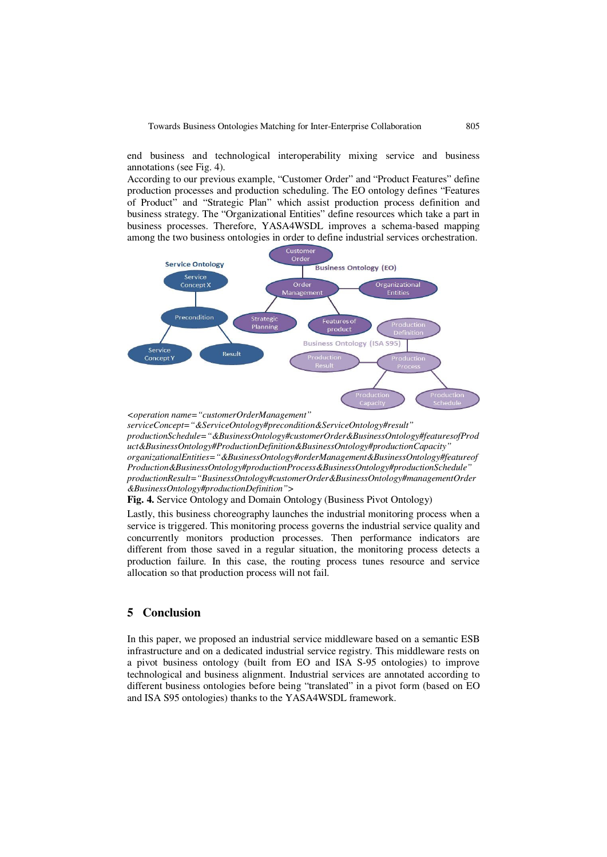end business and technological interoperability mixing service and business annotations (see Fig. 4).

According to our previous example, "Customer Order" and "Product Features" define production processes and production scheduling. The EO ontology defines "Features of Product" and "Strategic Plan" which assist production process definition and business strategy. The "Organizational Entities" define resources which take a part in business processes. Therefore, YASA4WSDL improves a schema-based mapping among the two business ontologies in order to define industrial services orchestration.



*<operation name="customerOrderManagement"* 

*serviceConcept="&ServiceOntology#precondition&ServiceOntology#result" productionSchedule="&BusinessOntology#customerOrder&BusinessOntology#featuresofProd uct&BusinessOntology#ProductionDefinition&BusinessOntology#productionCapacity" organizationalEntities="&BusinessOntology#orderManagement&BusinessOntology#featureof Production&BusinessOntology#productionProcess&BusinessOntology#productionSchedule" productionResult="BusinessOntology#customerOrder&BusinessOntology#managementOrder &BusinessOntology#productionDefinition">* 

**Fig. 4.** Service Ontology and Domain Ontology (Business Pivot Ontology)

Lastly, this business choreography launches the industrial monitoring process when a service is triggered. This monitoring process governs the industrial service quality and concurrently monitors production processes. Then performance indicators are different from those saved in a regular situation, the monitoring process detects a production failure. In this case, the routing process tunes resource and service allocation so that production process will not fail.

# **5 Conclusion**

In this paper, we proposed an industrial service middleware based on a semantic ESB infrastructure and on a dedicated industrial service registry. This middleware rests on a pivot business ontology (built from EO and ISA S-95 ontologies) to improve technological and business alignment. Industrial services are annotated according to different business ontologies before being "translated" in a pivot form (based on EO and ISA S95 ontologies) thanks to the YASA4WSDL framework.